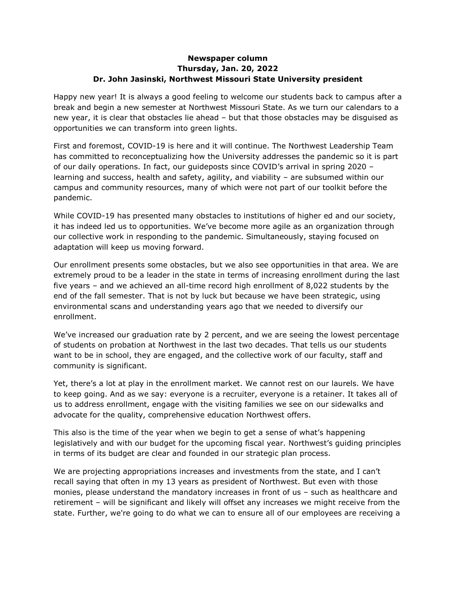## **Newspaper column Thursday, Jan. 20, 2022 Dr. John Jasinski, Northwest Missouri State University president**

Happy new year! It is always a good feeling to welcome our students back to campus after a break and begin a new semester at Northwest Missouri State. As we turn our calendars to a new year, it is clear that obstacles lie ahead – but that those obstacles may be disguised as opportunities we can transform into green lights.

First and foremost, COVID-19 is here and it will continue. The Northwest Leadership Team has committed to reconceptualizing how the University addresses the pandemic so it is part of our daily operations. In fact, our guideposts since COVID's arrival in spring 2020 – learning and success, health and safety, agility, and viability – are subsumed within our campus and community resources, many of which were not part of our toolkit before the pandemic.

While COVID-19 has presented many obstacles to institutions of higher ed and our society, it has indeed led us to opportunities. We've become more agile as an organization through our collective work in responding to the pandemic. Simultaneously, staying focused on adaptation will keep us moving forward.

Our enrollment presents some obstacles, but we also see opportunities in that area. We are extremely proud to be a leader in the state in terms of increasing enrollment during the last five years – and we achieved an all-time record high enrollment of 8,022 students by the end of the fall semester. That is not by luck but because we have been strategic, using environmental scans and understanding years ago that we needed to diversify our enrollment.

We've increased our graduation rate by 2 percent, and we are seeing the lowest percentage of students on probation at Northwest in the last two decades. That tells us our students want to be in school, they are engaged, and the collective work of our faculty, staff and community is significant.

Yet, there's a lot at play in the enrollment market. We cannot rest on our laurels. We have to keep going. And as we say: everyone is a recruiter, everyone is a retainer. It takes all of us to address enrollment, engage with the visiting families we see on our sidewalks and advocate for the quality, comprehensive education Northwest offers.

This also is the time of the year when we begin to get a sense of what's happening legislatively and with our budget for the upcoming fiscal year. Northwest's guiding principles in terms of its budget are clear and founded in our strategic plan process.

We are projecting appropriations increases and investments from the state, and I can't recall saying that often in my 13 years as president of Northwest. But even with those monies, please understand the mandatory increases in front of us – such as healthcare and retirement – will be significant and likely will offset any increases we might receive from the state. Further, we're going to do what we can to ensure all of our employees are receiving a